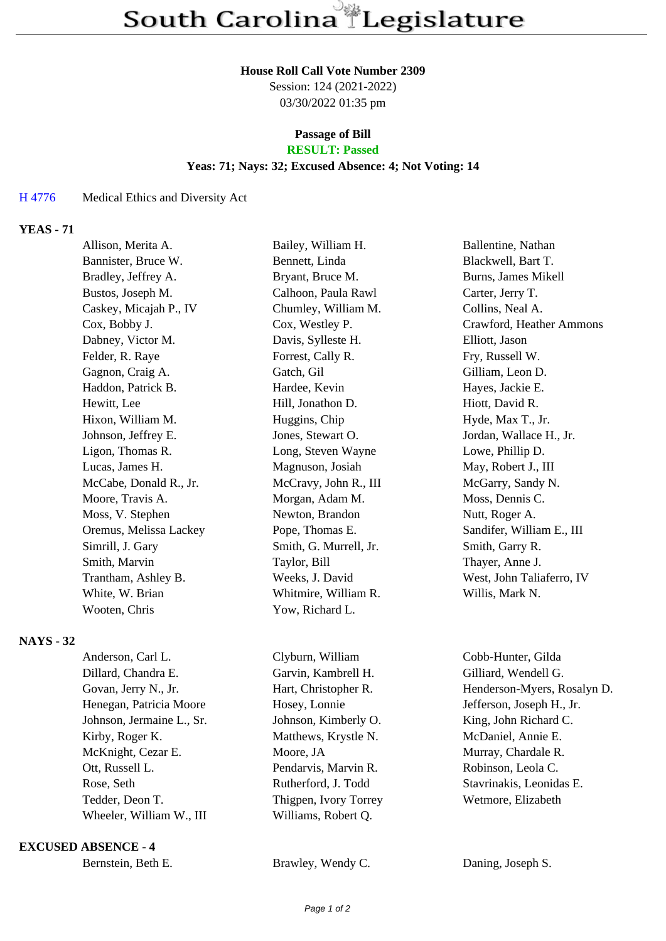#### **House Roll Call Vote Number 2309**

Session: 124 (2021-2022) 03/30/2022 01:35 pm

#### **Passage of Bill RESULT: Passed**

## **Yeas: 71; Nays: 32; Excused Absence: 4; Not Voting: 14**

## H 4776 Medical Ethics and Diversity Act

# **YEAS - 71**

|                  | Allison, Merita A.     | Bailey, William H.     | Ballentine, Nathan         |
|------------------|------------------------|------------------------|----------------------------|
|                  | Bannister, Bruce W.    | Bennett, Linda         | Blackwell, Bart T.         |
|                  | Bradley, Jeffrey A.    | Bryant, Bruce M.       | Burns, James Mikell        |
|                  | Bustos, Joseph M.      | Calhoon, Paula Rawl    | Carter, Jerry T.           |
|                  | Caskey, Micajah P., IV | Chumley, William M.    | Collins, Neal A.           |
|                  | Cox, Bobby J.          | Cox, Westley P.        | Crawford, Heather Ammons   |
|                  | Dabney, Victor M.      | Davis, Sylleste H.     | Elliott, Jason             |
|                  | Felder, R. Raye        | Forrest, Cally R.      | Fry, Russell W.            |
|                  | Gagnon, Craig A.       | Gatch, Gil             | Gilliam, Leon D.           |
|                  | Haddon, Patrick B.     | Hardee, Kevin          | Hayes, Jackie E.           |
|                  | Hewitt, Lee            | Hill, Jonathon D.      | Hiott, David R.            |
|                  | Hixon, William M.      | Huggins, Chip          | Hyde, Max T., Jr.          |
|                  | Johnson, Jeffrey E.    | Jones, Stewart O.      | Jordan, Wallace H., Jr.    |
|                  | Ligon, Thomas R.       | Long, Steven Wayne     | Lowe, Phillip D.           |
|                  | Lucas, James H.        | Magnuson, Josiah       | May, Robert J., III        |
|                  | McCabe, Donald R., Jr. | McCravy, John R., III  | McGarry, Sandy N.          |
|                  | Moore, Travis A.       | Morgan, Adam M.        | Moss, Dennis C.            |
|                  | Moss, V. Stephen       | Newton, Brandon        | Nutt, Roger A.             |
|                  | Oremus, Melissa Lackey | Pope, Thomas E.        | Sandifer, William E., III  |
|                  | Simrill, J. Gary       | Smith, G. Murrell, Jr. | Smith, Garry R.            |
|                  | Smith, Marvin          | Taylor, Bill           | Thayer, Anne J.            |
|                  | Trantham, Ashley B.    | Weeks, J. David        | West, John Taliaferro, IV  |
|                  | White, W. Brian        | Whitmire, William R.   | Willis, Mark N.            |
|                  | Wooten, Chris          | Yow, Richard L.        |                            |
| <b>NAYS - 32</b> |                        |                        |                            |
|                  | $A = 1, , L = 0, 1$ T  | $C1 - 1$ $V1111$ .     | $C_{11}$ $C_{12}$ $C_{13}$ |

| Anderson, Carl L.         | Clyburn, William      | Cobb-Hunter, Gilda          |
|---------------------------|-----------------------|-----------------------------|
| Dillard, Chandra E.       | Garvin, Kambrell H.   | Gilliard, Wendell G.        |
| Govan, Jerry N., Jr.      | Hart, Christopher R.  | Henderson-Myers, Rosalyn D. |
| Henegan, Patricia Moore   | Hosey, Lonnie         | Jefferson, Joseph H., Jr.   |
| Johnson, Jermaine L., Sr. | Johnson, Kimberly O.  | King, John Richard C.       |
| Kirby, Roger K.           | Matthews, Krystle N.  | McDaniel, Annie E.          |
| McKnight, Cezar E.        | Moore, JA             | Murray, Chardale R.         |
| Ott, Russell L.           | Pendarvis, Marvin R.  | Robinson, Leola C.          |
| Rose, Seth                | Rutherford, J. Todd   | Stavrinakis, Leonidas E.    |
| Tedder, Deon T.           | Thigpen, Ivory Torrey | Wetmore, Elizabeth          |
| Wheeler, William W., III  | Williams, Robert Q.   |                             |
|                           |                       |                             |

### **EXCUSED ABSENCE - 4**

| Bernstein, Beth E. |  |  |
|--------------------|--|--|
|--------------------|--|--|

Brawley, Wendy C. Daning, Joseph S.